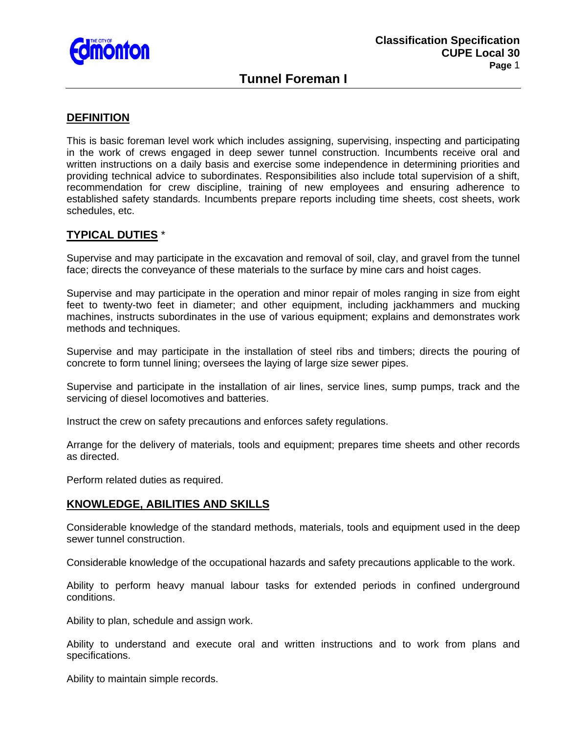

# **Tunnel Foreman I**

# **DEFINITION**

This is basic foreman level work which includes assigning, supervising, inspecting and participating in the work of crews engaged in deep sewer tunnel construction. Incumbents receive oral and written instructions on a daily basis and exercise some independence in determining priorities and providing technical advice to subordinates. Responsibilities also include total supervision of a shift, recommendation for crew discipline, training of new employees and ensuring adherence to established safety standards. Incumbents prepare reports including time sheets, cost sheets, work schedules, etc.

# **TYPICAL DUTIES** \*

Supervise and may participate in the excavation and removal of soil, clay, and gravel from the tunnel face; directs the conveyance of these materials to the surface by mine cars and hoist cages.

Supervise and may participate in the operation and minor repair of moles ranging in size from eight feet to twenty-two feet in diameter; and other equipment, including jackhammers and mucking machines, instructs subordinates in the use of various equipment; explains and demonstrates work methods and techniques.

Supervise and may participate in the installation of steel ribs and timbers; directs the pouring of concrete to form tunnel lining; oversees the laying of large size sewer pipes.

Supervise and participate in the installation of air lines, service lines, sump pumps, track and the servicing of diesel locomotives and batteries.

Instruct the crew on safety precautions and enforces safety regulations.

Arrange for the delivery of materials, tools and equipment; prepares time sheets and other records as directed.

Perform related duties as required.

## **KNOWLEDGE, ABILITIES AND SKILLS**

Considerable knowledge of the standard methods, materials, tools and equipment used in the deep sewer tunnel construction.

Considerable knowledge of the occupational hazards and safety precautions applicable to the work.

Ability to perform heavy manual labour tasks for extended periods in confined underground conditions.

Ability to plan, schedule and assign work.

Ability to understand and execute oral and written instructions and to work from plans and specifications.

Ability to maintain simple records.